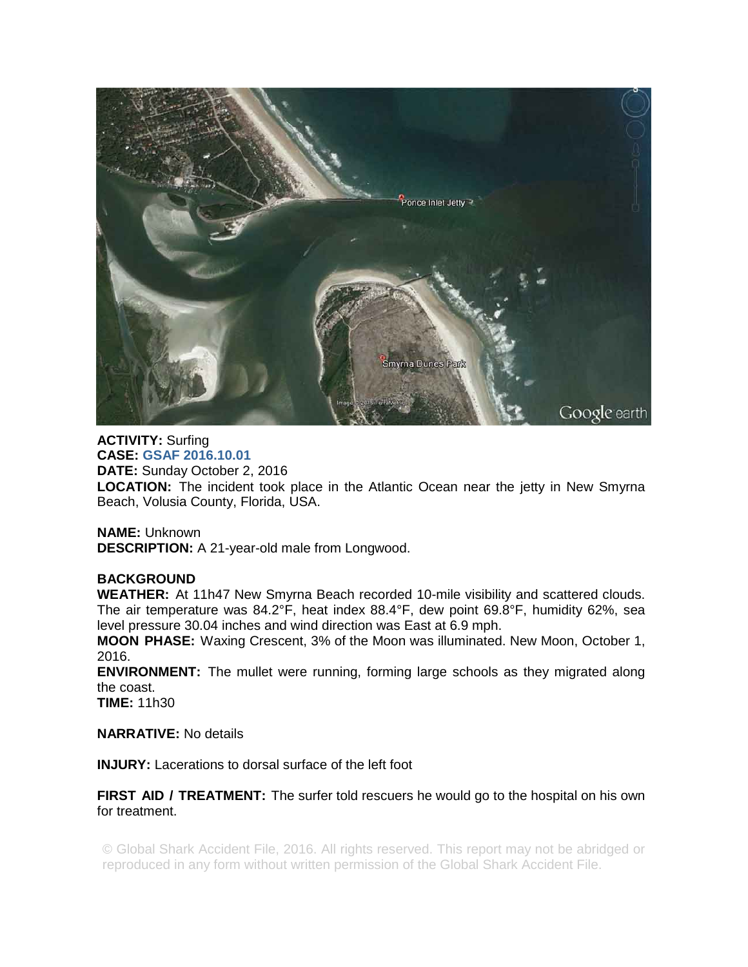

**ACTIVITY:** Surfing **CASE: GSAF 2016.10.01 DATE:** Sunday October 2, 2016 **LOCATION:** The incident took place in the Atlantic Ocean near the jetty in New Smyrna Beach, Volusia County, Florida, USA.

**NAME:** Unknown **DESCRIPTION:** A 21-year-old male from Longwood.

## **BACKGROUND**

**WEATHER:** At 11h47 New Smyrna Beach recorded 10-mile visibility and scattered clouds. The air temperature was 84.2°F, heat index 88.4°F, dew point 69.8°F, humidity 62%, sea level pressure 30.04 inches and wind direction was East at 6.9 mph.

**MOON PHASE:** Waxing Crescent, 3% of the Moon was illuminated. New Moon, October 1, 2016.

**ENVIRONMENT:** The mullet were running, forming large schools as they migrated along the coast.

**TIME:** 11h30

**NARRATIVE:** No details

**INJURY:** Lacerations to dorsal surface of the left foot

**FIRST AID / TREATMENT:** The surfer told rescuers he would go to the hospital on his own for treatment.

© Global Shark Accident File, 2016. All rights reserved. This report may not be abridged or reproduced in any form without written permission of the Global Shark Accident File.